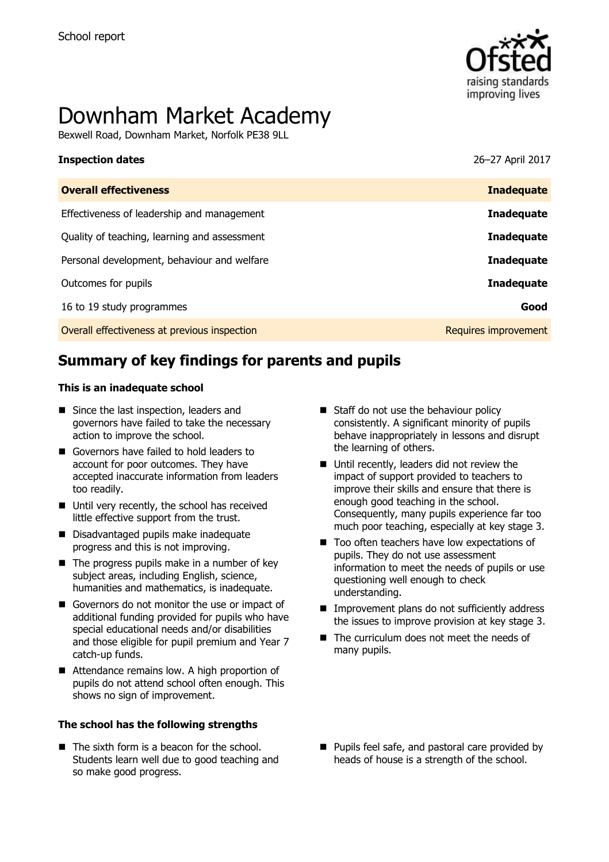

# Downham Market Academy

Bexwell Road, Downham Market, Norfolk PE38 9LL

| <b>Inspection dates</b> | 26-27 April 2017 |
|-------------------------|------------------|
|                         |                  |

| <b>Overall effectiveness</b>                 | <b>Inadequate</b>           |
|----------------------------------------------|-----------------------------|
| Effectiveness of leadership and management   | <b>Inadequate</b>           |
| Quality of teaching, learning and assessment | <b>Inadequate</b>           |
| Personal development, behaviour and welfare  | <b>Inadequate</b>           |
| Outcomes for pupils                          | <b>Inadequate</b>           |
| 16 to 19 study programmes                    | Good                        |
| Overall effectiveness at previous inspection | <b>Requires improvement</b> |

# **Summary of key findings for parents and pupils**

#### **This is an inadequate school**

- Since the last inspection, leaders and governors have failed to take the necessary action to improve the school.
- Governors have failed to hold leaders to account for poor outcomes. They have accepted inaccurate information from leaders too readily.
- Until very recently, the school has received little effective support from the trust.
- Disadvantaged pupils make inadequate progress and this is not improving.
- $\blacksquare$  The progress pupils make in a number of key subject areas, including English, science, humanities and mathematics, is inadequate.
- Governors do not monitor the use or impact of additional funding provided for pupils who have special educational needs and/or disabilities and those eligible for pupil premium and Year 7 catch-up funds.
- Attendance remains low. A high proportion of pupils do not attend school often enough. This shows no sign of improvement.

#### **The school has the following strengths**

 $\blacksquare$  The sixth form is a beacon for the school. Students learn well due to good teaching and so make good progress.

- Staff do not use the behaviour policy consistently. A significant minority of pupils behave inappropriately in lessons and disrupt the learning of others.
- Until recently, leaders did not review the impact of support provided to teachers to improve their skills and ensure that there is enough good teaching in the school. Consequently, many pupils experience far too much poor teaching, especially at key stage 3.
- Too often teachers have low expectations of pupils. They do not use assessment information to meet the needs of pupils or use questioning well enough to check understanding.
- **IMPROVEMENT plans do not sufficiently address** the issues to improve provision at key stage 3.
- The curriculum does not meet the needs of many pupils.
- **Pupils feel safe, and pastoral care provided by** heads of house is a strength of the school.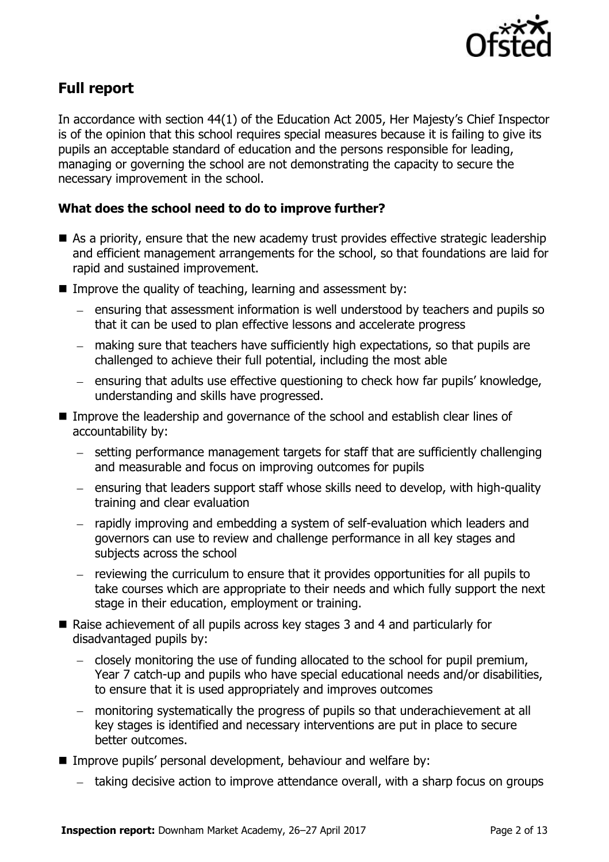

# **Full report**

In accordance with section 44(1) of the Education Act 2005, Her Majesty's Chief Inspector is of the opinion that this school requires special measures because it is failing to give its pupils an acceptable standard of education and the persons responsible for leading, managing or governing the school are not demonstrating the capacity to secure the necessary improvement in the school.

### **What does the school need to do to improve further?**

- As a priority, ensure that the new academy trust provides effective strategic leadership and efficient management arrangements for the school, so that foundations are laid for rapid and sustained improvement.
- Improve the quality of teaching, learning and assessment by:
	- ensuring that assessment information is well understood by teachers and pupils so that it can be used to plan effective lessons and accelerate progress
	- making sure that teachers have sufficiently high expectations, so that pupils are challenged to achieve their full potential, including the most able
	- ensuring that adults use effective questioning to check how far pupils' knowledge, understanding and skills have progressed.
- Improve the leadership and governance of the school and establish clear lines of accountability by:
	- setting performance management targets for staff that are sufficiently challenging and measurable and focus on improving outcomes for pupils
	- $-$  ensuring that leaders support staff whose skills need to develop, with high-quality training and clear evaluation
	- rapidly improving and embedding a system of self-evaluation which leaders and governors can use to review and challenge performance in all key stages and subjects across the school
	- reviewing the curriculum to ensure that it provides opportunities for all pupils to take courses which are appropriate to their needs and which fully support the next stage in their education, employment or training.
- Raise achievement of all pupils across key stages 3 and 4 and particularly for disadvantaged pupils by:
	- $\overline{a}$  closely monitoring the use of funding allocated to the school for pupil premium, Year 7 catch-up and pupils who have special educational needs and/or disabilities, to ensure that it is used appropriately and improves outcomes
	- monitoring systematically the progress of pupils so that underachievement at all key stages is identified and necessary interventions are put in place to secure better outcomes.
- **IMPROVE pupils' personal development, behaviour and welfare by:** 
	- taking decisive action to improve attendance overall, with a sharp focus on groups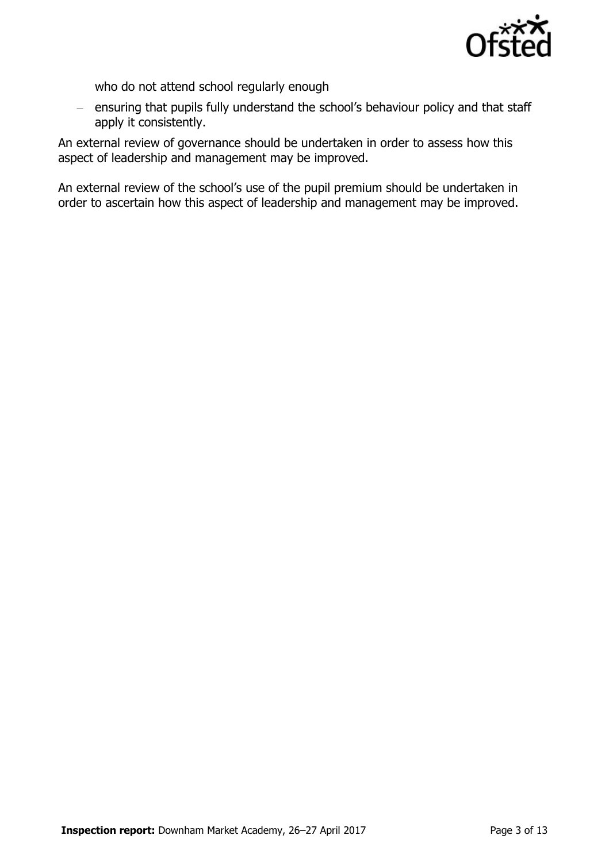

who do not attend school regularly enough

- ensuring that pupils fully understand the school's behaviour policy and that staff apply it consistently.

An external review of governance should be undertaken in order to assess how this aspect of leadership and management may be improved.

An external review of the school's use of the pupil premium should be undertaken in order to ascertain how this aspect of leadership and management may be improved.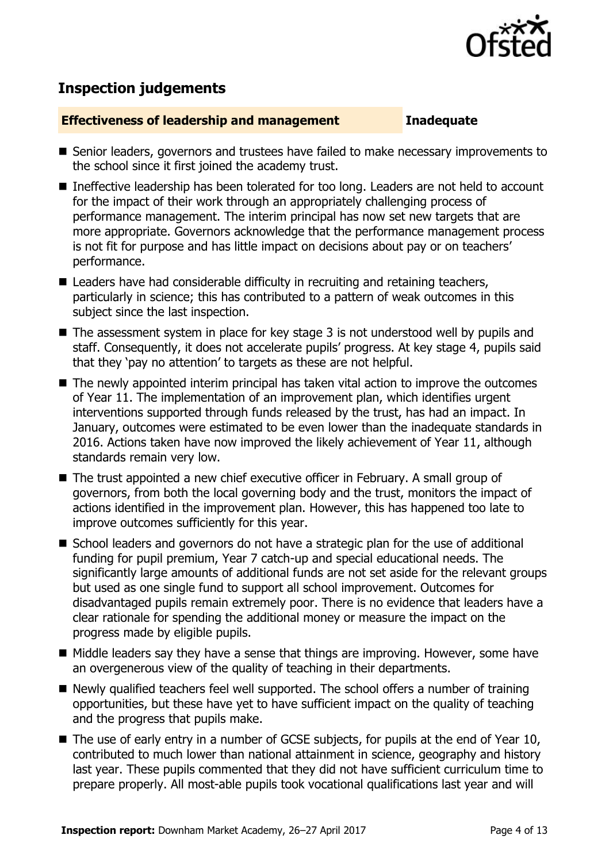

# **Inspection judgements**

#### **Effectiveness of leadership and management Inadequate**

- Senior leaders, governors and trustees have failed to make necessary improvements to the school since it first joined the academy trust.
- Ineffective leadership has been tolerated for too long. Leaders are not held to account for the impact of their work through an appropriately challenging process of performance management. The interim principal has now set new targets that are more appropriate. Governors acknowledge that the performance management process is not fit for purpose and has little impact on decisions about pay or on teachers' performance.
- Leaders have had considerable difficulty in recruiting and retaining teachers, particularly in science; this has contributed to a pattern of weak outcomes in this subject since the last inspection.
- The assessment system in place for key stage 3 is not understood well by pupils and staff. Consequently, it does not accelerate pupils' progress. At key stage 4, pupils said that they 'pay no attention' to targets as these are not helpful.
- The newly appointed interim principal has taken vital action to improve the outcomes of Year 11. The implementation of an improvement plan, which identifies urgent interventions supported through funds released by the trust, has had an impact. In January, outcomes were estimated to be even lower than the inadequate standards in 2016. Actions taken have now improved the likely achievement of Year 11, although standards remain very low.
- The trust appointed a new chief executive officer in February. A small group of governors, from both the local governing body and the trust, monitors the impact of actions identified in the improvement plan. However, this has happened too late to improve outcomes sufficiently for this year.
- School leaders and governors do not have a strategic plan for the use of additional funding for pupil premium, Year 7 catch-up and special educational needs. The significantly large amounts of additional funds are not set aside for the relevant groups but used as one single fund to support all school improvement. Outcomes for disadvantaged pupils remain extremely poor. There is no evidence that leaders have a clear rationale for spending the additional money or measure the impact on the progress made by eligible pupils.
- $\blacksquare$  Middle leaders say they have a sense that things are improving. However, some have an overgenerous view of the quality of teaching in their departments.
- Newly qualified teachers feel well supported. The school offers a number of training opportunities, but these have yet to have sufficient impact on the quality of teaching and the progress that pupils make.
- The use of early entry in a number of GCSE subjects, for pupils at the end of Year 10, contributed to much lower than national attainment in science, geography and history last year. These pupils commented that they did not have sufficient curriculum time to prepare properly. All most-able pupils took vocational qualifications last year and will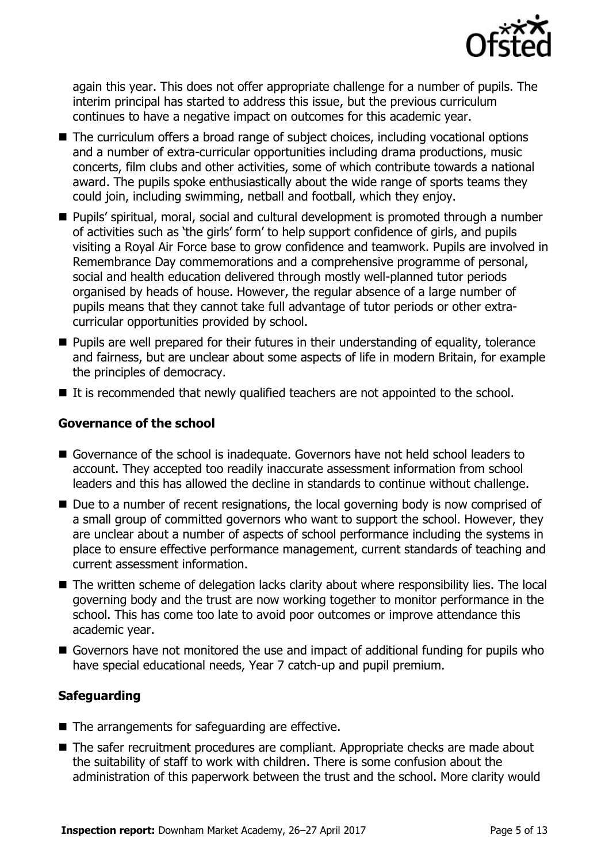

again this year. This does not offer appropriate challenge for a number of pupils. The interim principal has started to address this issue, but the previous curriculum continues to have a negative impact on outcomes for this academic year.

- The curriculum offers a broad range of subject choices, including vocational options and a number of extra-curricular opportunities including drama productions, music concerts, film clubs and other activities, some of which contribute towards a national award. The pupils spoke enthusiastically about the wide range of sports teams they could join, including swimming, netball and football, which they enjoy.
- Pupils' spiritual, moral, social and cultural development is promoted through a number of activities such as 'the girls' form' to help support confidence of girls, and pupils visiting a Royal Air Force base to grow confidence and teamwork. Pupils are involved in Remembrance Day commemorations and a comprehensive programme of personal, social and health education delivered through mostly well-planned tutor periods organised by heads of house. However, the regular absence of a large number of pupils means that they cannot take full advantage of tutor periods or other extracurricular opportunities provided by school.
- **Pupils are well prepared for their futures in their understanding of equality, tolerance** and fairness, but are unclear about some aspects of life in modern Britain, for example the principles of democracy.
- $\blacksquare$  It is recommended that newly qualified teachers are not appointed to the school.

### **Governance of the school**

- Governance of the school is inadequate. Governors have not held school leaders to account. They accepted too readily inaccurate assessment information from school leaders and this has allowed the decline in standards to continue without challenge.
- Due to a number of recent resignations, the local governing body is now comprised of a small group of committed governors who want to support the school. However, they are unclear about a number of aspects of school performance including the systems in place to ensure effective performance management, current standards of teaching and current assessment information.
- The written scheme of delegation lacks clarity about where responsibility lies. The local governing body and the trust are now working together to monitor performance in the school. This has come too late to avoid poor outcomes or improve attendance this academic year.
- Governors have not monitored the use and impact of additional funding for pupils who have special educational needs, Year 7 catch-up and pupil premium.

### **Safeguarding**

- $\blacksquare$  The arrangements for safeguarding are effective.
- The safer recruitment procedures are compliant. Appropriate checks are made about the suitability of staff to work with children. There is some confusion about the administration of this paperwork between the trust and the school. More clarity would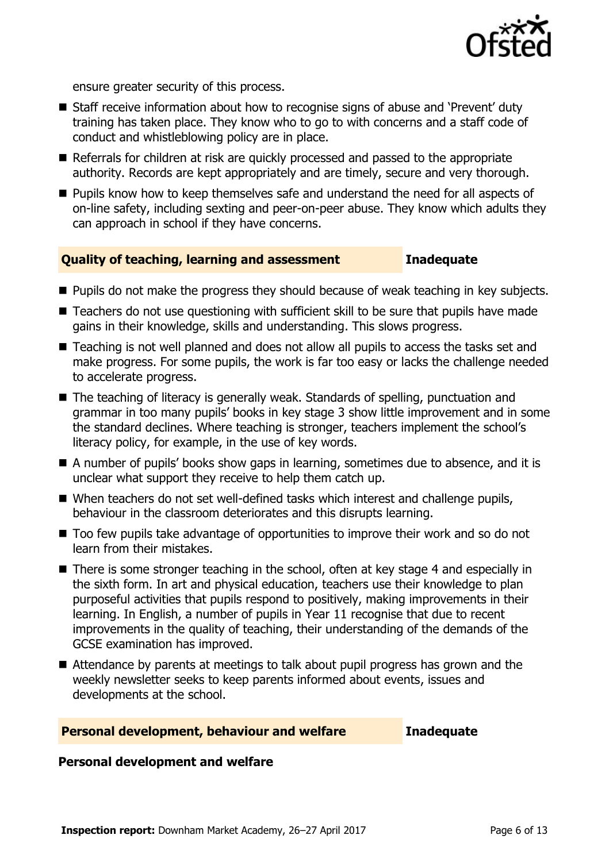

ensure greater security of this process.

- Staff receive information about how to recognise signs of abuse and 'Prevent' duty training has taken place. They know who to go to with concerns and a staff code of conduct and whistleblowing policy are in place.
- Referrals for children at risk are quickly processed and passed to the appropriate authority. Records are kept appropriately and are timely, secure and very thorough.
- **Pupils know how to keep themselves safe and understand the need for all aspects of** on-line safety, including sexting and peer-on-peer abuse. They know which adults they can approach in school if they have concerns.

### **Quality of teaching, learning and assessment Inadequate**

- **Pupils do not make the progress they should because of weak teaching in key subjects.**
- Teachers do not use questioning with sufficient skill to be sure that pupils have made gains in their knowledge, skills and understanding. This slows progress.
- Teaching is not well planned and does not allow all pupils to access the tasks set and make progress. For some pupils, the work is far too easy or lacks the challenge needed to accelerate progress.
- The teaching of literacy is generally weak. Standards of spelling, punctuation and grammar in too many pupils' books in key stage 3 show little improvement and in some the standard declines. Where teaching is stronger, teachers implement the school's literacy policy, for example, in the use of key words.
- A number of pupils' books show gaps in learning, sometimes due to absence, and it is unclear what support they receive to help them catch up.
- When teachers do not set well-defined tasks which interest and challenge pupils, behaviour in the classroom deteriorates and this disrupts learning.
- Too few pupils take advantage of opportunities to improve their work and so do not learn from their mistakes.
- There is some stronger teaching in the school, often at key stage 4 and especially in the sixth form. In art and physical education, teachers use their knowledge to plan purposeful activities that pupils respond to positively, making improvements in their learning. In English, a number of pupils in Year 11 recognise that due to recent improvements in the quality of teaching, their understanding of the demands of the GCSE examination has improved.
- Attendance by parents at meetings to talk about pupil progress has grown and the weekly newsletter seeks to keep parents informed about events, issues and developments at the school.

#### **Personal development, behaviour and welfare Inadequate**

#### **Personal development and welfare**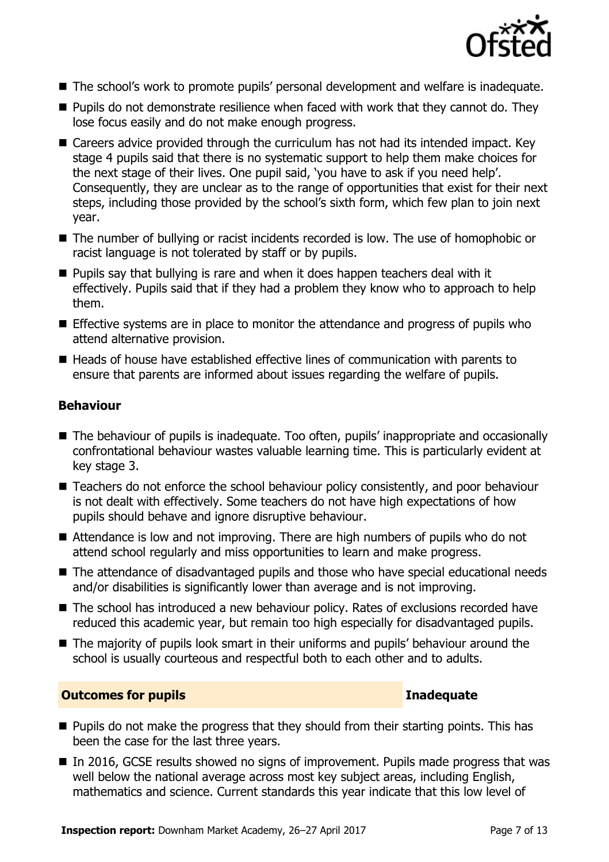

- The school's work to promote pupils' personal development and welfare is inadequate.
- **Pupils do not demonstrate resilience when faced with work that they cannot do. They** lose focus easily and do not make enough progress.
- Careers advice provided through the curriculum has not had its intended impact. Key stage 4 pupils said that there is no systematic support to help them make choices for the next stage of their lives. One pupil said, 'you have to ask if you need help'. Consequently, they are unclear as to the range of opportunities that exist for their next steps, including those provided by the school's sixth form, which few plan to join next year.
- The number of bullying or racist incidents recorded is low. The use of homophobic or racist language is not tolerated by staff or by pupils.
- **Pupils say that bullying is rare and when it does happen teachers deal with it** effectively. Pupils said that if they had a problem they know who to approach to help them.
- Effective systems are in place to monitor the attendance and progress of pupils who attend alternative provision.
- Heads of house have established effective lines of communication with parents to ensure that parents are informed about issues regarding the welfare of pupils.

#### **Behaviour**

- The behaviour of pupils is inadequate. Too often, pupils' inappropriate and occasionally confrontational behaviour wastes valuable learning time. This is particularly evident at key stage 3.
- Teachers do not enforce the school behaviour policy consistently, and poor behaviour is not dealt with effectively. Some teachers do not have high expectations of how pupils should behave and ignore disruptive behaviour.
- Attendance is low and not improving. There are high numbers of pupils who do not attend school regularly and miss opportunities to learn and make progress.
- The attendance of disadvantaged pupils and those who have special educational needs and/or disabilities is significantly lower than average and is not improving.
- The school has introduced a new behaviour policy. Rates of exclusions recorded have reduced this academic year, but remain too high especially for disadvantaged pupils.
- The majority of pupils look smart in their uniforms and pupils' behaviour around the school is usually courteous and respectful both to each other and to adults.

#### **Outcomes for pupils Inadequate**

- $\blacksquare$  Pupils do not make the progress that they should from their starting points. This has been the case for the last three years.
- In 2016, GCSE results showed no signs of improvement. Pupils made progress that was well below the national average across most key subject areas, including English, mathematics and science. Current standards this year indicate that this low level of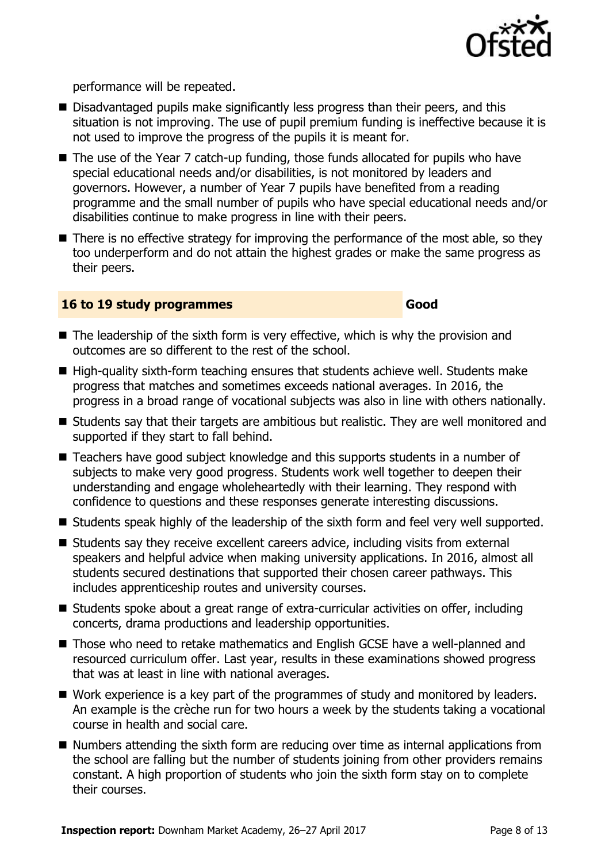

performance will be repeated.

- Disadvantaged pupils make significantly less progress than their peers, and this situation is not improving. The use of pupil premium funding is ineffective because it is not used to improve the progress of the pupils it is meant for.
- The use of the Year 7 catch-up funding, those funds allocated for pupils who have special educational needs and/or disabilities, is not monitored by leaders and governors. However, a number of Year 7 pupils have benefited from a reading programme and the small number of pupils who have special educational needs and/or disabilities continue to make progress in line with their peers.
- There is no effective strategy for improving the performance of the most able, so they too underperform and do not attain the highest grades or make the same progress as their peers.

#### **16 to 19 study programmes Good**

- $\blacksquare$  The leadership of the sixth form is very effective, which is why the provision and outcomes are so different to the rest of the school.
- $\blacksquare$  High-quality sixth-form teaching ensures that students achieve well. Students make progress that matches and sometimes exceeds national averages. In 2016, the progress in a broad range of vocational subjects was also in line with others nationally.
- Students say that their targets are ambitious but realistic. They are well monitored and supported if they start to fall behind.
- Teachers have good subject knowledge and this supports students in a number of subjects to make very good progress. Students work well together to deepen their understanding and engage wholeheartedly with their learning. They respond with confidence to questions and these responses generate interesting discussions.
- Students speak highly of the leadership of the sixth form and feel very well supported.
- Students say they receive excellent careers advice, including visits from external speakers and helpful advice when making university applications. In 2016, almost all students secured destinations that supported their chosen career pathways. This includes apprenticeship routes and university courses.
- Students spoke about a great range of extra-curricular activities on offer, including concerts, drama productions and leadership opportunities.
- Those who need to retake mathematics and English GCSE have a well-planned and resourced curriculum offer. Last year, results in these examinations showed progress that was at least in line with national averages.
- Work experience is a key part of the programmes of study and monitored by leaders. An example is the crèche run for two hours a week by the students taking a vocational course in health and social care.
- $\blacksquare$  Numbers attending the sixth form are reducing over time as internal applications from the school are falling but the number of students joining from other providers remains constant. A high proportion of students who join the sixth form stay on to complete their courses.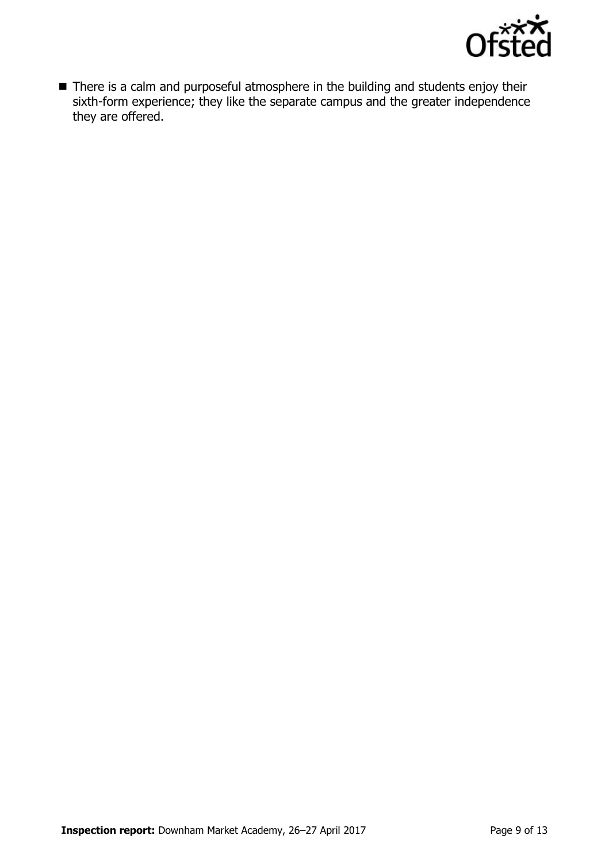

■ There is a calm and purposeful atmosphere in the building and students enjoy their sixth-form experience; they like the separate campus and the greater independence they are offered.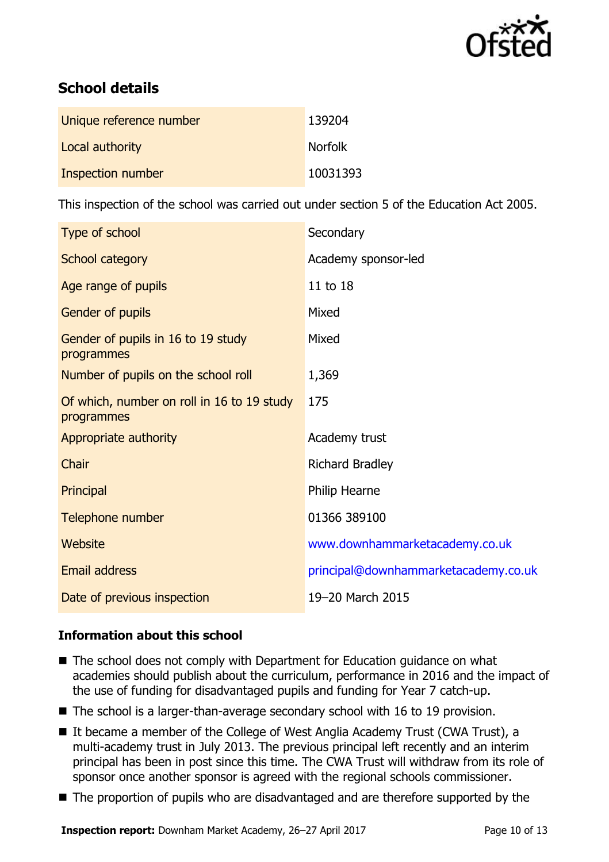

# **School details**

| Unique reference number | 139204         |
|-------------------------|----------------|
| Local authority         | <b>Norfolk</b> |
| Inspection number       | 10031393       |

This inspection of the school was carried out under section 5 of the Education Act 2005.

| Type of school                                           | Secondary                            |
|----------------------------------------------------------|--------------------------------------|
| School category                                          | Academy sponsor-led                  |
| Age range of pupils                                      | 11 to 18                             |
| Gender of pupils                                         | Mixed                                |
| Gender of pupils in 16 to 19 study<br>programmes         | Mixed                                |
| Number of pupils on the school roll                      | 1,369                                |
| Of which, number on roll in 16 to 19 study<br>programmes | 175                                  |
| Appropriate authority                                    | Academy trust                        |
| Chair                                                    | <b>Richard Bradley</b>               |
| Principal                                                | Philip Hearne                        |
| Telephone number                                         | 01366 389100                         |
| <b>Website</b>                                           | www.downhammarketacademy.co.uk       |
| Email address                                            | principal@downhammarketacademy.co.uk |
| Date of previous inspection                              | 19-20 March 2015                     |

### **Information about this school**

- The school does not comply with Department for Education guidance on what academies should publish about the curriculum, performance in 2016 and the impact of the use of funding for disadvantaged pupils and funding for Year 7 catch-up.
- The school is a larger-than-average secondary school with 16 to 19 provision.
- It became a member of the College of West Anglia Academy Trust (CWA Trust), a multi-academy trust in July 2013. The previous principal left recently and an interim principal has been in post since this time. The CWA Trust will withdraw from its role of sponsor once another sponsor is agreed with the regional schools commissioner.
- The proportion of pupils who are disadvantaged and are therefore supported by the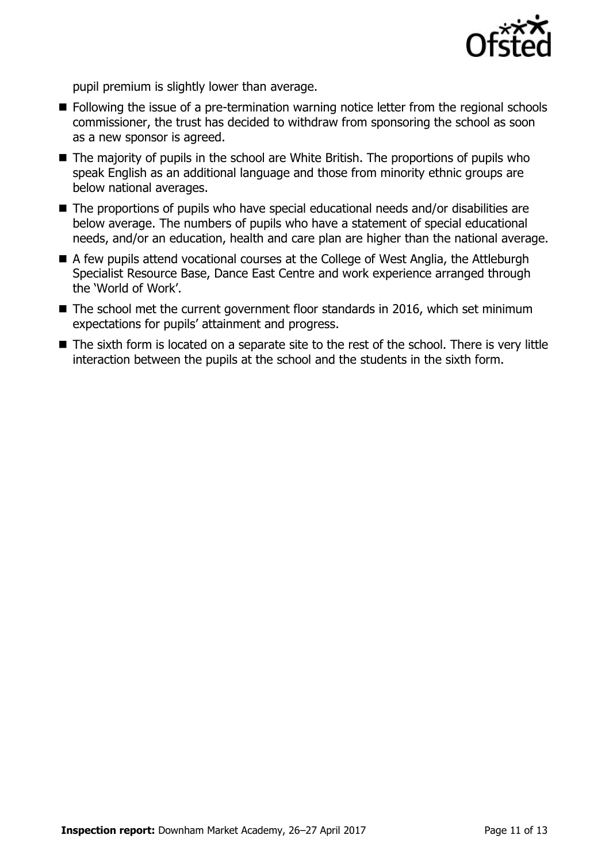

pupil premium is slightly lower than average.

- Following the issue of a pre-termination warning notice letter from the regional schools commissioner, the trust has decided to withdraw from sponsoring the school as soon as a new sponsor is agreed.
- The majority of pupils in the school are White British. The proportions of pupils who speak English as an additional language and those from minority ethnic groups are below national averages.
- The proportions of pupils who have special educational needs and/or disabilities are below average. The numbers of pupils who have a statement of special educational needs, and/or an education, health and care plan are higher than the national average.
- A few pupils attend vocational courses at the College of West Anglia, the Attleburgh Specialist Resource Base, Dance East Centre and work experience arranged through the 'World of Work'.
- $\blacksquare$  The school met the current government floor standards in 2016, which set minimum expectations for pupils' attainment and progress.
- The sixth form is located on a separate site to the rest of the school. There is very little interaction between the pupils at the school and the students in the sixth form.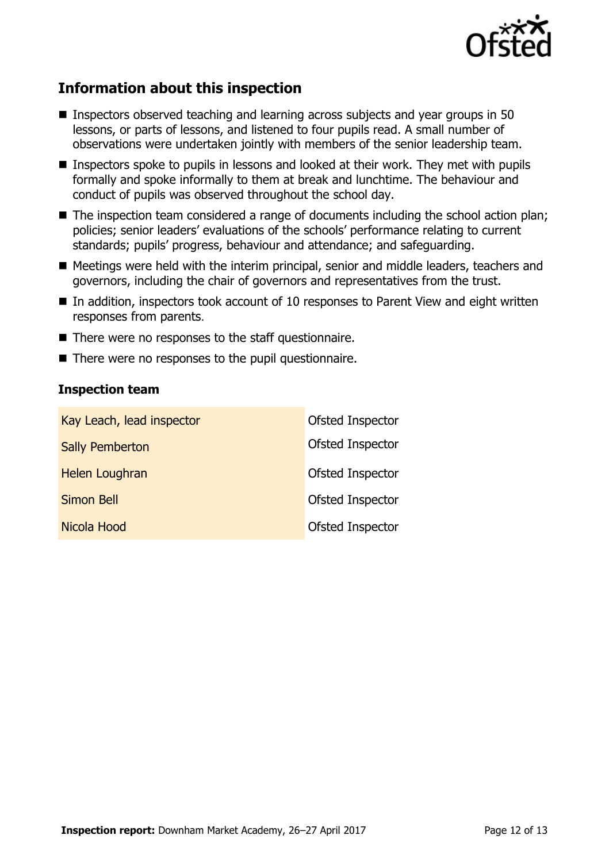

# **Information about this inspection**

- **Inspectors observed teaching and learning across subjects and year groups in 50** lessons, or parts of lessons, and listened to four pupils read. A small number of observations were undertaken jointly with members of the senior leadership team.
- Inspectors spoke to pupils in lessons and looked at their work. They met with pupils formally and spoke informally to them at break and lunchtime. The behaviour and conduct of pupils was observed throughout the school day.
- The inspection team considered a range of documents including the school action plan; policies; senior leaders' evaluations of the schools' performance relating to current standards; pupils' progress, behaviour and attendance; and safeguarding.
- Meetings were held with the interim principal, senior and middle leaders, teachers and governors, including the chair of governors and representatives from the trust.
- In addition, inspectors took account of 10 responses to Parent View and eight written responses from parents.
- There were no responses to the staff questionnaire.
- There were no responses to the pupil questionnaire.

#### **Inspection team**

| Kay Leach, lead inspector | Ofsted Inspector |
|---------------------------|------------------|
| <b>Sally Pemberton</b>    | Ofsted Inspector |
| Helen Loughran            | Ofsted Inspector |
| <b>Simon Bell</b>         | Ofsted Inspector |
| Nicola Hood               | Ofsted Inspector |